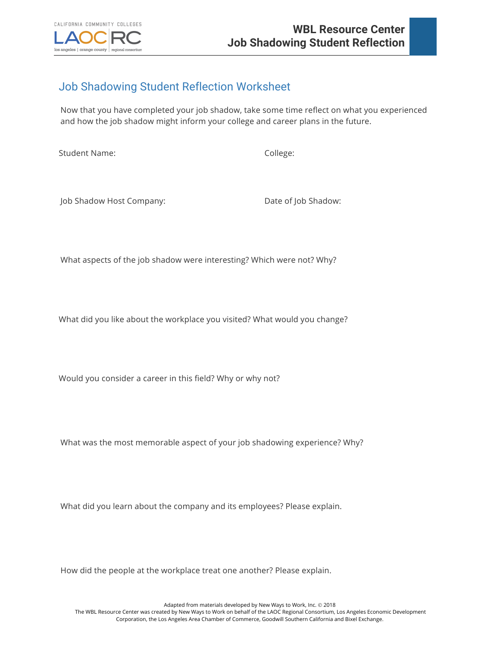

## Job Shadowing Student Reflection Worksheet

Now that you have completed your job shadow, take some time reflect on what you experienced and how the job shadow might inform your college and career plans in the future.

Student Name: College:

Job Shadow Host Company: Date of Job Shadow:

What aspects of the job shadow were interesting? Which were not? Why?

What did you like about the workplace you visited? What would you change?

Would you consider a career in this field? Why or why not?

What was the most memorable aspect of your job shadowing experience? Why?

What did you learn about the company and its employees? Please explain.

How did the people at the workplace treat one another? Please explain.

Adapted from materials developed by New Ways to Work, Inc. © 2018